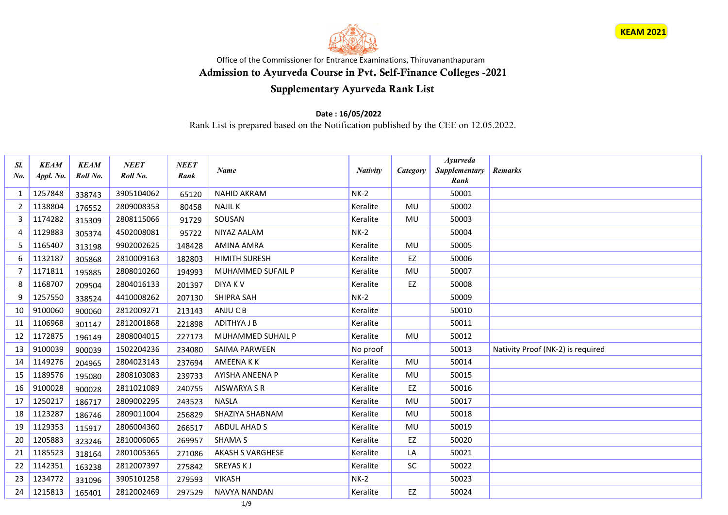



## Office of the Commissioner for Entrance Examinations, Thiruvananthapuram Admission to Ayurveda Course in Pvt. Self-Finance Colleges -2021

## Supplementary Ayurveda Rank List

## Date : 16/05/2022

Rank List is prepared based on the Notification published by the CEE on 12.05.2022.

| Sl.<br>$N_{0}$ | <b>KEAM</b><br>Appl. No. | <b>KEAM</b><br>Roll No. | <b>NEET</b><br>Roll No. | <b>NEET</b><br>Rank | <b>Name</b>              | <b>Nativity</b> | Category  | <b>Avurveda</b><br>Supplementary<br>Rank | <b>Remarks</b>                    |
|----------------|--------------------------|-------------------------|-------------------------|---------------------|--------------------------|-----------------|-----------|------------------------------------------|-----------------------------------|
| 1              | 1257848                  | 338743                  | 3905104062              | 65120               | <b>NAHID AKRAM</b>       | $NK-2$          |           | 50001                                    |                                   |
| $\overline{2}$ | 1138804                  | 176552                  | 2809008353              | 80458               | <b>NAJIL K</b>           | Keralite        | <b>MU</b> | 50002                                    |                                   |
| 3              | 1174282                  | 315309                  | 2808115066              | 91729               | SOUSAN                   | Keralite        | <b>MU</b> | 50003                                    |                                   |
| 4              | 1129883                  | 305374                  | 4502008081              | 95722               | NIYAZ AALAM              | $NK-2$          |           | 50004                                    |                                   |
| 5              | 1165407                  | 313198                  | 9902002625              | 148428              | <b>AMINA AMRA</b>        | Keralite        | MU        | 50005                                    |                                   |
| 6              | 1132187                  | 305868                  | 2810009163              | 182803              | <b>HIMITH SURESH</b>     | Keralite        | EZ        | 50006                                    |                                   |
| 7              | 1171811                  | 195885                  | 2808010260              | 194993              | <b>MUHAMMED SUFAIL P</b> | Keralite        | <b>MU</b> | 50007                                    |                                   |
| 8              | 1168707                  | 209504                  | 2804016133              | 201397              | <b>DIYAKV</b>            | Keralite        | EZ        | 50008                                    |                                   |
| 9              | 1257550                  | 338524                  | 4410008262              | 207130              | <b>SHIPRA SAH</b>        | $NK-2$          |           | 50009                                    |                                   |
| 10             | 9100060                  | 900060                  | 2812009271              | 213143              | ANJU C B                 | Keralite        |           | 50010                                    |                                   |
| 11             | 1106968                  | 301147                  | 2812001868              | 221898              | <b>ADITHYA J B</b>       | Keralite        |           | 50011                                    |                                   |
| 12             | 1172875                  | 196149                  | 2808004015              | 227173              | MUHAMMED SUHAIL P        | Keralite        | <b>MU</b> | 50012                                    |                                   |
| 13             | 9100039                  | 900039                  | 1502204236              | 234080              | SAIMA PARWEEN            | No proof        |           | 50013                                    | Nativity Proof (NK-2) is required |
| 14             | 1149276                  | 204965                  | 2804023143              | 237694              | <b>AMEENAKK</b>          | Keralite        | MU        | 50014                                    |                                   |
| 15             | 1189576                  | 195080                  | 2808103083              | 239733              | <b>AYISHA ANEENA P</b>   | Keralite        | MU        | 50015                                    |                                   |
| 16             | 9100028                  | 900028                  | 2811021089              | 240755              | <b>AISWARYA S R</b>      | Keralite        | EZ        | 50016                                    |                                   |
| 17             | 1250217                  | 186717                  | 2809002295              | 243523              | <b>NASLA</b>             | Keralite        | <b>MU</b> | 50017                                    |                                   |
| 18             | 1123287                  | 186746                  | 2809011004              | 256829              | SHAZIYA SHABNAM          | Keralite        | MU        | 50018                                    |                                   |
| 19             | 1129353                  | 115917                  | 2806004360              | 266517              | <b>ABDUL AHAD S</b>      | Keralite        | <b>MU</b> | 50019                                    |                                   |
| 20             | 1205883                  | 323246                  | 2810006065              | 269957              | <b>SHAMA S</b>           | Keralite        | EZ        | 50020                                    |                                   |
| 21             | 1185523                  | 318164                  | 2801005365              | 271086              | <b>AKASH S VARGHESE</b>  | Keralite        | LA        | 50021                                    |                                   |
| 22             | 1142351                  | 163238                  | 2812007397              | 275842              | SREYAS KJ                | Keralite        | SC        | 50022                                    |                                   |
| 23             | 1234772                  | 331096                  | 3905101258              | 279593              | <b>VIKASH</b>            | $NK-2$          |           | 50023                                    |                                   |
| 24             | 1215813                  | 165401                  | 2812002469              | 297529              | <b>NAVYA NANDAN</b>      | Keralite        | EZ        | 50024                                    |                                   |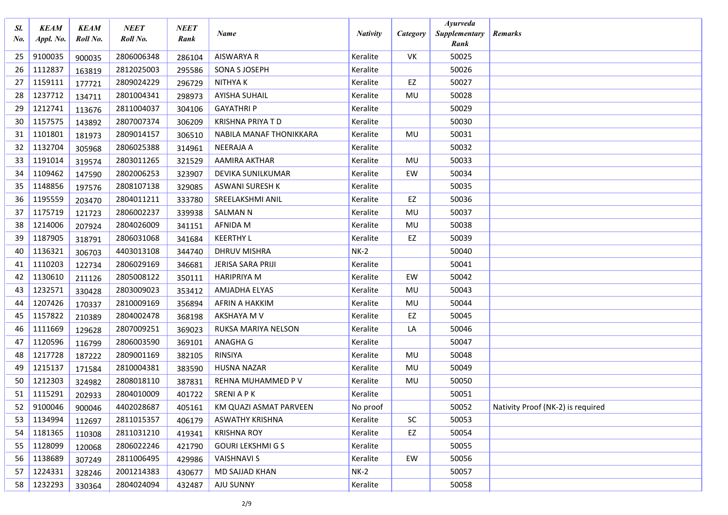| Sl.<br>No. | <b>KEAM</b><br>Appl. No. | <b>KEAM</b><br>Roll No. | <b>NEET</b><br>Roll No. | NEET<br>Rank | Name                     | <b>Nativity</b> | Category  | <b>Ayurveda</b><br>Supplementary<br>Rank | <b>Remarks</b>                    |
|------------|--------------------------|-------------------------|-------------------------|--------------|--------------------------|-----------------|-----------|------------------------------------------|-----------------------------------|
| 25         | 9100035                  | 900035                  | 2806006348              | 286104       | <b>AISWARYA R</b>        | Keralite        | VK        | 50025                                    |                                   |
| 26         | 1112837                  | 163819                  | 2812025003              | 295586       | SONA S JOSEPH            | Keralite        |           | 50026                                    |                                   |
| 27         | 1159111                  | 177721                  | 2809024229              | 296729       | <b>NITHYAK</b>           | Keralite        | EZ        | 50027                                    |                                   |
| 28         | 1237712                  | 134711                  | 2801004341              | 298973       | <b>AYISHA SUHAIL</b>     | Keralite        | MU        | 50028                                    |                                   |
| 29         | 1212741                  | 113676                  | 2811004037              | 304106       | <b>GAYATHRIP</b>         | Keralite        |           | 50029                                    |                                   |
| 30         | 1157575                  | 143892                  | 2807007374              | 306209       | <b>KRISHNA PRIYA T D</b> | Keralite        |           | 50030                                    |                                   |
| 31         | 1101801                  | 181973                  | 2809014157              | 306510       | NABILA MANAF THONIKKARA  | Keralite        | MU        | 50031                                    |                                   |
| 32         | 1132704                  | 305968                  | 2806025388              | 314961       | <b>NEERAJA A</b>         | Keralite        |           | 50032                                    |                                   |
| 33         | 1191014                  | 319574                  | 2803011265              | 321529       | AAMIRA AKTHAR            | Keralite        | MU        | 50033                                    |                                   |
| 34         | 1109462                  | 147590                  | 2802006253              | 323907       | DEVIKA SUNILKUMAR        | Keralite        | EW        | 50034                                    |                                   |
| 35         | 1148856                  | 197576                  | 2808107138              | 329085       | <b>ASWANI SURESH K</b>   | Keralite        |           | 50035                                    |                                   |
| 36         | 1195559                  | 203470                  | 2804011211              | 333780       | SREELAKSHMI ANIL         | Keralite        | EZ        | 50036                                    |                                   |
| 37         | 1175719                  | 121723                  | 2806002237              | 339938       | <b>SALMAN N</b>          | Keralite        | MU        | 50037                                    |                                   |
| 38         | 1214006                  | 207924                  | 2804026009              | 341151       | AFNIDA M                 | Keralite        | MU        | 50038                                    |                                   |
| 39         | 1187905                  | 318791                  | 2806031068              | 341684       | <b>KEERTHY L</b>         | Keralite        | EZ        | 50039                                    |                                   |
| 40         | 1136321                  | 306703                  | 4403013108              | 344740       | <b>DHRUV MISHRA</b>      | $NK-2$          |           | 50040                                    |                                   |
| 41         | 1110203                  | 122734                  | 2806029169              | 346681       | JERISA SARA PRIJI        | Keralite        |           | 50041                                    |                                   |
| 42         | 1130610                  | 211126                  | 2805008122              | 350111       | <b>HARIPRIYA M</b>       | Keralite        | EW        | 50042                                    |                                   |
| 43         | 1232571                  | 330428                  | 2803009023              | 353412       | AMJADHA ELYAS            | Keralite        | MU        | 50043                                    |                                   |
| 44         | 1207426                  | 170337                  | 2810009169              | 356894       | AFRIN A HAKKIM           | Keralite        | MU        | 50044                                    |                                   |
| 45         | 1157822                  | 210389                  | 2804002478              | 368198       | AKSHAYA M V              | Keralite        | EZ        | 50045                                    |                                   |
| 46         | 1111669                  | 129628                  | 2807009251              | 369023       | RUKSA MARIYA NELSON      | Keralite        | LA        | 50046                                    |                                   |
| 47         | 1120596                  | 116799                  | 2806003590              | 369101       | ANAGHA G                 | Keralite        |           | 50047                                    |                                   |
| 48         | 1217728                  | 187222                  | 2809001169              | 382105       | RINSIYA                  | Keralite        | MU        | 50048                                    |                                   |
| 49         | 1215137                  | 171584                  | 2810004381              | 383590       | <b>HUSNA NAZAR</b>       | Keralite        | MU        | 50049                                    |                                   |
| 50         | 1212303                  | 324982                  | 2808018110              | 387831       | REHNA MUHAMMED P V       | Keralite        | MU        | 50050                                    |                                   |
| 51         | 1115291                  | 202933                  | 2804010009              | 401722       | <b>SRENI A P K</b>       | Keralite        |           | 50051                                    |                                   |
| 52         | 9100046                  | 900046                  | 4402028687              | 405161       | KM QUAZI ASMAT PARVEEN   | No proof        |           | 50052                                    | Nativity Proof (NK-2) is required |
| 53         | 1134994                  | 112697                  | 2811015357              | 406179       | <b>ASWATHY KRISHNA</b>   | Keralite        | <b>SC</b> | 50053                                    |                                   |
| 54         | 1181365                  | 110308                  | 2811031210              | 419341       | <b>KRISHNA ROY</b>       | Keralite        | EZ        | 50054                                    |                                   |
| 55         | 1128099                  | 120068                  | 2806022246              | 421790       | <b>GOURI LEKSHMI G S</b> | Keralite        |           | 50055                                    |                                   |
| 56         | 1138689                  | 307249                  | 2811006495              | 429986       | <b>VAISHNAVI S</b>       | Keralite        | EW        | 50056                                    |                                   |
| 57         | 1224331                  | 328246                  | 2001214383              | 430677       | MD SAJJAD KHAN           | $NK-2$          |           | 50057                                    |                                   |
| 58         | 1232293                  | 330364                  | 2804024094              | 432487       | AJU SUNNY                | Keralite        |           | 50058                                    |                                   |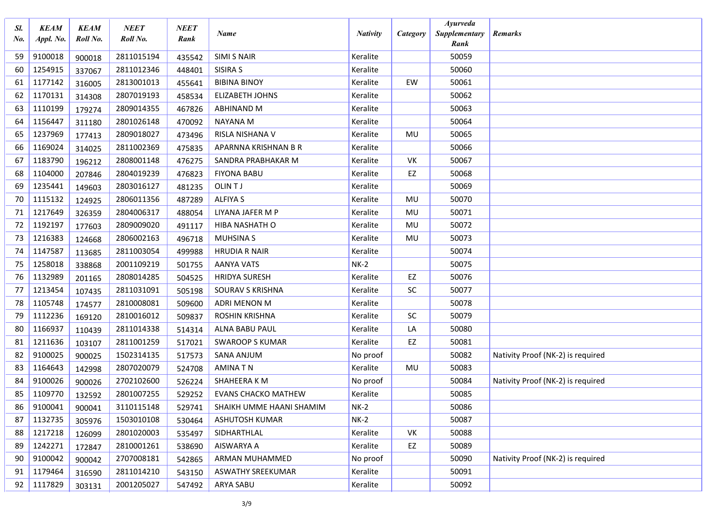| Sl.<br>No. | <b>KEAM</b><br>Appl. No. | <b>KEAM</b><br>Roll No. | <b>NEET</b><br>Roll No. | <b>NEET</b><br>Rank | Name                       | <b>Nativity</b> | Category  | <b>Ayurveda</b><br>Supplementary | Remarks                           |
|------------|--------------------------|-------------------------|-------------------------|---------------------|----------------------------|-----------------|-----------|----------------------------------|-----------------------------------|
| 59         | 9100018                  |                         | 2811015194              |                     | <b>SIMI S NAIR</b>         | Keralite        |           | Rank<br>50059                    |                                   |
| 60         | 1254915                  | 900018                  | 2811012346              | 435542              | SISIRA S                   | Keralite        |           | 50060                            |                                   |
| 61         | 1177142                  | 337067                  | 2813001013              | 448401              | <b>BIBINA BINOY</b>        | Keralite        | EW        | 50061                            |                                   |
| 62         | 1170131                  | 316005                  | 2807019193              | 455641              | <b>ELIZABETH JOHNS</b>     | Keralite        |           | 50062                            |                                   |
| 63         | 1110199                  | 314308                  | 2809014355              | 458534              | ABHINAND M                 | Keralite        |           | 50063                            |                                   |
| 64         | 1156447                  | 179274                  | 2801026148              | 467826              | <b>NAYANA M</b>            | Keralite        |           | 50064                            |                                   |
| 65         | 1237969                  | 311180                  | 2809018027              | 470092              | RISLA NISHANA V            | Keralite        | MU        | 50065                            |                                   |
| 66         | 1169024                  | 177413                  | 2811002369              | 473496              | APARNNA KRISHNAN B R       | Keralite        |           | 50066                            |                                   |
|            |                          | 314025                  |                         | 475835              |                            | Keralite        | VK        | 50067                            |                                   |
| 67<br>68   | 1183790                  | 196212                  | 2808001148              | 476275              | SANDRA PRABHAKAR M         |                 |           |                                  |                                   |
|            | 1104000                  | 207846                  | 2804019239              | 476823              | <b>FIYONA BABU</b>         | Keralite        | EZ        | 50068                            |                                   |
| 69         | 1235441                  | 149603                  | 2803016127              | 481235              | OLIN TJ                    | Keralite        |           | 50069                            |                                   |
| 70         | 1115132                  | 124925                  | 2806011356              | 487289              | <b>ALFIYA S</b>            | Keralite        | MU        | 50070                            |                                   |
| 71         | 1217649                  | 326359                  | 2804006317              | 488054              | LIYANA JAFER M P           | Keralite        | MU        | 50071                            |                                   |
| 72         | 1192197                  | 177603                  | 2809009020              | 491117              | HIBA NASHATH O             | Keralite        | MU        | 50072                            |                                   |
| 73         | 1216383                  | 124668                  | 2806002163              | 496718              | <b>MUHSINA S</b>           | Keralite        | MU        | 50073                            |                                   |
| 74         | 1147587                  | 113685                  | 2811003054              | 499988              | <b>HRUDIA R NAIR</b>       | Keralite        |           | 50074                            |                                   |
| 75         | 1258018                  | 338868                  | 2001109219              | 501755              | <b>AANYA VATS</b>          | $NK-2$          |           | 50075                            |                                   |
| 76         | 1132989                  | 201165                  | 2808014285              | 504525              | <b>HRIDYA SURESH</b>       | Keralite        | EZ        | 50076                            |                                   |
| 77         | 1213454                  | 107435                  | 2811031091              | 505198              | SOURAV S KRISHNA           | Keralite        | SC        | 50077                            |                                   |
| 78         | 1105748                  | 174577                  | 2810008081              | 509600              | ADRI MENON M               | Keralite        |           | 50078                            |                                   |
| 79         | 1112236                  | 169120                  | 2810016012              | 509837              | <b>ROSHIN KRISHNA</b>      | Keralite        | <b>SC</b> | 50079                            |                                   |
| 80         | 1166937                  | 110439                  | 2811014338              | 514314              | <b>ALNA BABU PAUL</b>      | Keralite        | LA        | 50080                            |                                   |
| 81         | 1211636                  | 103107                  | 2811001259              | 517021              | <b>SWAROOP S KUMAR</b>     | Keralite        | EZ        | 50081                            |                                   |
| -82        | 9100025                  | 900025                  | 1502314135              | 517573              | <b>SANA ANJUM</b>          | No proof        |           | 50082                            | Nativity Proof (NK-2) is required |
| 83         | 1164643                  | 142998                  | 2807020079              | 524708              | <b>AMINATN</b>             | Keralite        | MU        | 50083                            |                                   |
| 84         | 9100026                  | 900026                  | 2702102600              | 526224              | SHAHEERA K M               | No proof        |           | 50084                            | Nativity Proof (NK-2) is required |
| 85         | 1109770                  | 132592                  | 2801007255              | 529252              | <b>EVANS CHACKO MATHEW</b> | Keralite        |           | 50085                            |                                   |
| 86         | 9100041                  | 900041                  | 3110115148              | 529741              | SHAIKH UMME HAANI SHAMIM   | $NK-2$          |           | 50086                            |                                   |
| 87         | 1132735                  | 305976                  | 1503010108              | 530464              | ASHUTOSH KUMAR             | $NK-2$          |           | 50087                            |                                   |
| 88         | 1217218                  | 126099                  | 2801020003              | 535497              | SIDHARTHLAL                | Keralite        | VK        | 50088                            |                                   |
| 89         | 1242271                  | 172847                  | 2810001261              | 538690              | AISWARYA A                 | Keralite        | EZ        | 50089                            |                                   |
| 90         | 9100042                  | 900042                  | 2707008181              | 542865              | ARMAN MUHAMMED             | No proof        |           | 50090                            | Nativity Proof (NK-2) is required |
| 91         | 1179464                  | 316590                  | 2811014210              | 543150              | ASWATHY SREEKUMAR          | Keralite        |           | 50091                            |                                   |
| 92         | 1117829                  | 303131                  | 2001205027              | 547492              | ARYA SABU                  | Keralite        |           | 50092                            |                                   |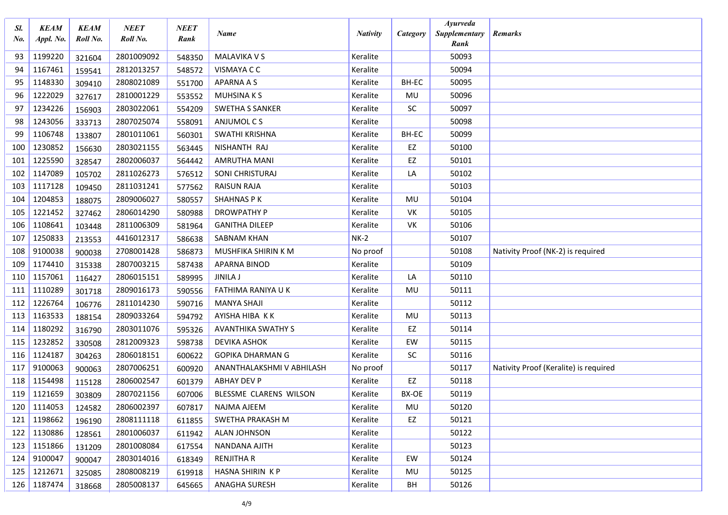| SI.<br>No. | <b>KEAM</b><br>Appl. No. | <b>KEAM</b><br>Roll No. | <b>NEET</b><br>Roll No. | <b>NEET</b><br>Rank | <b>Name</b>               | <b>Nativity</b> | Category | <b>Ayurveda</b><br>Supplementary | <b>Remarks</b>                        |
|------------|--------------------------|-------------------------|-------------------------|---------------------|---------------------------|-----------------|----------|----------------------------------|---------------------------------------|
|            |                          |                         |                         |                     |                           |                 |          | Rank                             |                                       |
| 93         | 1199220                  | 321604                  | 2801009092              | 548350              | <b>MALAVIKA V S</b>       | Keralite        |          | 50093                            |                                       |
| 94         | 1167461                  | 159541                  | 2812013257              | 548572              | VISMAYA C C               | Keralite        |          | 50094                            |                                       |
| 95         | 1148330                  | 309410                  | 2808021089              | 551700              | <b>APARNA A S</b>         | Keralite        | BH-EC    | 50095                            |                                       |
| 96         | 1222029                  | 327617                  | 2810001229              | 553552              | <b>MUHSINAKS</b>          | Keralite        | MU       | 50096                            |                                       |
| 97         | 1234226                  | 156903                  | 2803022061              | 554209              | <b>SWETHA S SANKER</b>    | Keralite        | SC       | 50097                            |                                       |
| 98         | 1243056                  | 333713                  | 2807025074              | 558091              | ANJUMOL C S               | Keralite        |          | 50098                            |                                       |
| 99         | 1106748                  | 133807                  | 2801011061              | 560301              | <b>SWATHI KRISHNA</b>     | Keralite        | BH-EC    | 50099                            |                                       |
| 100        | 1230852                  | 156630                  | 2803021155              | 563445              | NISHANTH RAJ              | Keralite        | EZ       | 50100                            |                                       |
| 101        | 1225590                  | 328547                  | 2802006037              | 564442              | <b>AMRUTHA MANI</b>       | Keralite        | EZ       | 50101                            |                                       |
| 102        | 1147089                  | 105702                  | 2811026273              | 576512              | SONI CHRISTURAJ           | Keralite        | LA       | 50102                            |                                       |
| 103        | 1117128                  | 109450                  | 2811031241              | 577562              | <b>RAISUN RAJA</b>        | Keralite        |          | 50103                            |                                       |
| 104        | 1204853                  | 188075                  | 2809006027              | 580557              | <b>SHAHNAS PK</b>         | Keralite        | MU       | 50104                            |                                       |
| 105        | 1221452                  | 327462                  | 2806014290              | 580988              | <b>DROWPATHY P</b>        | Keralite        | VK       | 50105                            |                                       |
| 106        | 1108641                  | 103448                  | 2811006309              | 581964              | <b>GANITHA DILEEP</b>     | Keralite        | VK       | 50106                            |                                       |
| 107        | 1250833                  | 213553                  | 4416012317              | 586638              | <b>SABNAM KHAN</b>        | $NK-2$          |          | 50107                            |                                       |
| 108        | 9100038                  | 900038                  | 2708001428              | 586873              | MUSHFIKA SHIRIN K M       | No proof        |          | 50108                            | Nativity Proof (NK-2) is required     |
| 109        | 1174410                  | 315338                  | 2807003215              | 587438              | <b>APARNA BINOD</b>       | Keralite        |          | 50109                            |                                       |
| 110        | 1157061                  | 116427                  | 2806015151              | 589995              | <b>JINILA J</b>           | Keralite        | LA       | 50110                            |                                       |
| 111        | 1110289                  | 301718                  | 2809016173              | 590556              | FATHIMA RANIYA U K        | Keralite        | MU       | 50111                            |                                       |
| 112        | 1226764                  | 106776                  | 2811014230              | 590716              | <b>MANYA SHAJI</b>        | Keralite        |          | 50112                            |                                       |
| 113        | 1163533                  | 188154                  | 2809033264              | 594792              | AYISHA HIBA KK            | Keralite        | MU       | 50113                            |                                       |
| 114        | 1180292                  | 316790                  | 2803011076              | 595326              | <b>AVANTHIKA SWATHY S</b> | Keralite        | EZ       | 50114                            |                                       |
| 115        | 1232852                  | 330508                  | 2812009323              | 598738              | <b>DEVIKA ASHOK</b>       | Keralite        | EW       | 50115                            |                                       |
| 116        | 1124187                  | 304263                  | 2806018151              | 600622              | <b>GOPIKA DHARMAN G</b>   | Keralite        | SC       | 50116                            |                                       |
| 117        | 9100063                  | 900063                  | 2807006251              | 600920              | ANANTHALAKSHMI V ABHILASH | No proof        |          | 50117                            | Nativity Proof (Keralite) is required |
| 118        | 1154498                  | 115128                  | 2806002547              | 601379              | <b>ABHAY DEV P</b>        | Keralite        | EZ       | 50118                            |                                       |
| 119        | 1121659                  | 303809                  | 2807021156              | 607006              | BLESSME CLARENS WILSON    | Keralite        | BX-OE    | 50119                            |                                       |
|            | 120   1114053            | 124582                  | 2806002397              | 607817              | NAJMA AJEEM               | Keralite        | MU       | 50120                            |                                       |
|            | 121 1198662              | 196190                  | 2808111118              | 611855              | SWETHA PRAKASH M          | Keralite        | EZ       | 50121                            |                                       |
| 122        | 1130886                  | 128561                  | 2801006037              | 611942              | <b>ALAN JOHNSON</b>       | Keralite        |          | 50122                            |                                       |
| 123        | 1151866                  | 131209                  | 2801008084              | 617554              | NANDANA AJITH             | Keralite        |          | 50123                            |                                       |
| 124        | 9100047                  | 900047                  | 2803014016              | 618349              | <b>RENJITHA R</b>         | Keralite        | EW       | 50124                            |                                       |
| 125        | 1212671                  | 325085                  | 2808008219              | 619918              | HASNA SHIRIN KP           | Keralite        | MU       | 50125                            |                                       |
|            | 126 1187474              | 318668                  | 2805008137              | 645665              | <b>ANAGHA SURESH</b>      | Keralite        | BH       | 50126                            |                                       |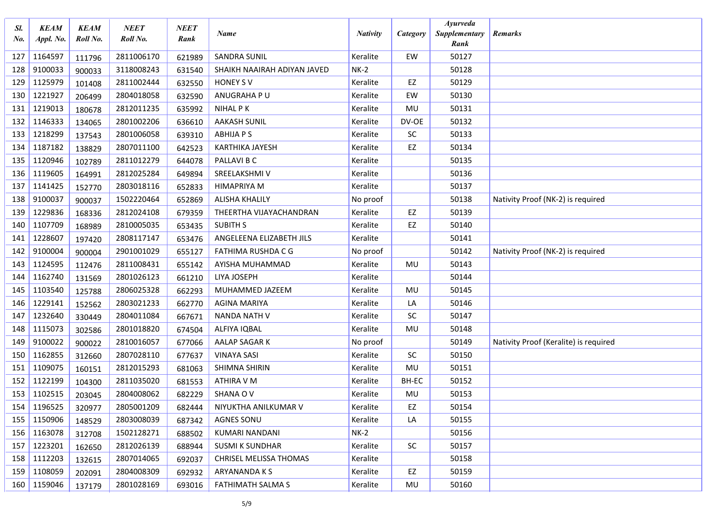| Sl.<br>No. | <b>KEAM</b><br>Appl. No. | <b>KEAM</b><br>Roll No. | <b>NEET</b><br>Roll No. | <b>NEET</b><br>Rank | <b>Name</b>                 | <b>Nativity</b> | Category  | <b>Ayurveda</b><br>Supplementary | <b>Remarks</b>                        |
|------------|--------------------------|-------------------------|-------------------------|---------------------|-----------------------------|-----------------|-----------|----------------------------------|---------------------------------------|
|            |                          |                         |                         |                     |                             |                 |           | Rank                             |                                       |
| 127        | 1164597                  | 111796                  | 2811006170              | 621989              | <b>SANDRA SUNIL</b>         | Keralite        | EW        | 50127                            |                                       |
| 128        | 9100033                  | 900033                  | 3118008243              | 631540              | SHAIKH NAAIRAH ADIYAN JAVED | $NK-2$          |           | 50128                            |                                       |
| 129        | 1125979                  | 101408                  | 2811002444              | 632550              | <b>HONEY SV</b>             | Keralite        | EZ        | 50129                            |                                       |
| 130        | 1221927                  | 206499                  | 2804018058              | 632590              | ANUGRAHA PU                 | Keralite        | EW        | 50130                            |                                       |
| 131        | 1219013                  | 180678                  | 2812011235              | 635992              | <b>NIHAL PK</b>             | Keralite        | MU        | 50131                            |                                       |
| 132        | 1146333                  | 134065                  | 2801002206              | 636610              | <b>AAKASH SUNIL</b>         | Keralite        | DV-OE     | 50132                            |                                       |
| 133        | 1218299                  | 137543                  | 2801006058              | 639310              | <b>ABHIJA P S</b>           | Keralite        | SC        | 50133                            |                                       |
| 134        | 1187182                  | 138829                  | 2807011100              | 642523              | <b>KARTHIKA JAYESH</b>      | Keralite        | EZ        | 50134                            |                                       |
| 135        | 1120946                  | 102789                  | 2811012279              | 644078              | PALLAVI B C                 | Keralite        |           | 50135                            |                                       |
| 136        | 1119605                  | 164991                  | 2812025284              | 649894              | SREELAKSHMI V               | Keralite        |           | 50136                            |                                       |
| 137        | 1141425                  | 152770                  | 2803018116              | 652833              | <b>HIMAPRIYA M</b>          | Keralite        |           | 50137                            |                                       |
| 138        | 9100037                  | 900037                  | 1502220464              | 652869              | <b>ALISHA KHALILY</b>       | No proof        |           | 50138                            | Nativity Proof (NK-2) is required     |
| 139        | 1229836                  | 168336                  | 2812024108              | 679359              | THEERTHA VIJAYACHANDRAN     | Keralite        | EZ        | 50139                            |                                       |
| 140        | 1107709                  | 168989                  | 2810005035              | 653435              | <b>SUBITH S</b>             | Keralite        | EZ        | 50140                            |                                       |
| 141        | 1228607                  | 197420                  | 2808117147              | 653476              | ANGELEENA ELIZABETH JILS    | Keralite        |           | 50141                            |                                       |
| 142        | 9100004                  | 900004                  | 2901001029              | 655127              | FATHIMA RUSHDA C G          | No proof        |           | 50142                            | Nativity Proof (NK-2) is required     |
| 143        | 1124595                  | 112476                  | 2811008431              | 655142              | AYISHA MUHAMMAD             | Keralite        | MU        | 50143                            |                                       |
| 144        | 1162740                  | 131569                  | 2801026123              | 661210              | LIYA JOSEPH                 | Keralite        |           | 50144                            |                                       |
| 145        | 1103540                  | 125788                  | 2806025328              | 662293              | MUHAMMED JAZEEM             | Keralite        | MU        | 50145                            |                                       |
| 146        | 1229141                  | 152562                  | 2803021233              | 662770              | <b>AGINA MARIYA</b>         | Keralite        | LA        | 50146                            |                                       |
| 147        | 1232640                  | 330449                  | 2804011084              | 667671              | <b>NANDA NATH V</b>         | Keralite        | SC        | 50147                            |                                       |
| 148        | 1115073                  | 302586                  | 2801018820              | 674504              | ALFIYA IQBAL                | Keralite        | MU        | 50148                            |                                       |
| 149        | 9100022                  | 900022                  | 2810016057              | 677066              | AALAP SAGAR K               | No proof        |           | 50149                            | Nativity Proof (Keralite) is required |
| 150        | 1162855                  | 312660                  | 2807028110              | 677637              | <b>VINAYA SASI</b>          | Keralite        | <b>SC</b> | 50150                            |                                       |
| 151        | 1109075                  | 160151                  | 2812015293              | 681063              | SHIMNA SHIRIN               | Keralite        | MU        | 50151                            |                                       |
| 152        | 1122199                  | 104300                  | 2811035020              | 681553              | <b>ATHIRA V M</b>           | Keralite        | BH-EC     | 50152                            |                                       |
| 153        | 1102515                  | 203045                  | 2804008062              | 682229              | SHANA OV                    | Keralite        | MU        | 50153                            |                                       |
| 154        | 1196525                  | 320977                  | 2805001209              | 682444              | NIYUKTHA ANILKUMAR V        | Keralite        | EZ        | 50154                            |                                       |
|            | 155 1150906              | 148529                  | 2803008039              | 687342              | <b>AGNES SONU</b>           | Keralite        | LA        | 50155                            |                                       |
| 156        | 1163078                  | 312708                  | 1502128271              | 688502              | KUMARI NANDANI              | $NK-2$          |           | 50156                            |                                       |
| 157        | 1223201                  | 162650                  | 2812026139              | 688944              | <b>SUSMI K SUNDHAR</b>      | Keralite        | <b>SC</b> | 50157                            |                                       |
| 158        | 1112203                  | 132615                  | 2807014065              | 692037              | CHRISEL MELISSA THOMAS      | Keralite        |           | 50158                            |                                       |
| 159        | 1108059                  | 202091                  | 2804008309              | 692932              | ARYANANDA K S               | Keralite        | EZ        | 50159                            |                                       |
|            | 160 1159046              | 137179                  | 2801028169              | 693016              | FATHIMATH SALMA S           | Keralite        | MU        | 50160                            |                                       |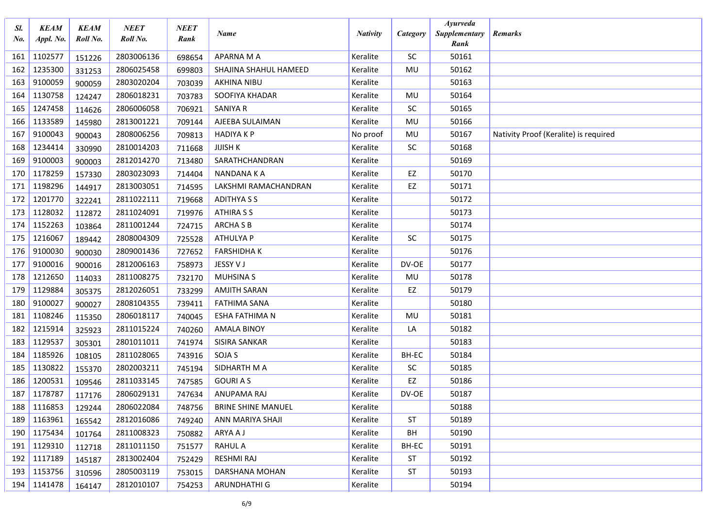| Sl.<br>No. | <b>KEAM</b><br>Appl. No. | <b>KEAM</b><br>Roll No. | <b>NEET</b><br>Roll No. | NEET<br>Rank | <b>Name</b>               | <b>Nativity</b> | Category  | <b>Ayurveda</b><br>Supplementary<br>Rank | <b>Remarks</b>                        |
|------------|--------------------------|-------------------------|-------------------------|--------------|---------------------------|-----------------|-----------|------------------------------------------|---------------------------------------|
| 161        | 1102577                  | 151226                  | 2803006136              | 698654       | APARNA M A                | Keralite        | SC        | 50161                                    |                                       |
| 162        | 1235300                  | 331253                  | 2806025458              | 699803       | SHAJINA SHAHUL HAMEED     | Keralite        | MU        | 50162                                    |                                       |
| 163        | 9100059                  | 900059                  | 2803020204              | 703039       | <b>AKHINA NIBU</b>        | Keralite        |           | 50163                                    |                                       |
| 164        | 1130758                  | 124247                  | 2806018231              | 703783       | SOOFIYA KHADAR            | Keralite        | MU        | 50164                                    |                                       |
| 165        | 1247458                  | 114626                  | 2806006058              | 706921       | <b>SANIYA R</b>           | Keralite        | <b>SC</b> | 50165                                    |                                       |
| 166        | 1133589                  | 145980                  | 2813001221              | 709144       | AJEEBA SULAIMAN           | Keralite        | MU        | 50166                                    |                                       |
| 167        | 9100043                  | 900043                  | 2808006256              | 709813       | <b>HADIYAKP</b>           | No proof        | MU        | 50167                                    | Nativity Proof (Keralite) is required |
| 168        | 1234414                  | 330990                  | 2810014203              | 711668       | <b>JIJISH K</b>           | Keralite        | SC        | 50168                                    |                                       |
| 169        | 9100003                  | 900003                  | 2812014270              | 713480       | SARATHCHANDRAN            | Keralite        |           | 50169                                    |                                       |
| 170        | 1178259                  | 157330                  | 2803023093              | 714404       | NANDANA K A               | Keralite        | EZ        | 50170                                    |                                       |
| 171        | 1198296                  | 144917                  | 2813003051              | 714595       | LAKSHMI RAMACHANDRAN      | Keralite        | EZ        | 50171                                    |                                       |
| 172        | 1201770                  | 322241                  | 2811022111              | 719668       | <b>ADITHYA S S</b>        | Keralite        |           | 50172                                    |                                       |
| 173        | 1128032                  | 112872                  | 2811024091              | 719976       | <b>ATHIRA S S</b>         | Keralite        |           | 50173                                    |                                       |
| 174        | 1152263                  | 103864                  | 2811001244              | 724715       | <b>ARCHA S B</b>          | Keralite        |           | 50174                                    |                                       |
| 175        | 1216067                  | 189442                  | 2808004309              | 725528       | ATHULYA P                 | Keralite        | SC        | 50175                                    |                                       |
| 176        | 9100030                  | 900030                  | 2809001436              | 727652       | <b>FARSHIDHAK</b>         | Keralite        |           | 50176                                    |                                       |
| 177        | 9100016                  | 900016                  | 2812006163              | 758973       | JESSY V J                 | Keralite        | DV-OE     | 50177                                    |                                       |
| 178        | 1212650                  | 114033                  | 2811008275              | 732170       | <b>MUHSINA S</b>          | Keralite        | MU        | 50178                                    |                                       |
| 179        | 1129884                  | 305375                  | 2812026051              | 733299       | <b>AMJITH SARAN</b>       | Keralite        | EZ        | 50179                                    |                                       |
| 180        | 9100027                  | 900027                  | 2808104355              | 739411       | <b>FATHIMA SANA</b>       | Keralite        |           | 50180                                    |                                       |
| 181        | 1108246                  | 115350                  | 2806018117              | 740045       | ESHA FATHIMA N            | Keralite        | MU        | 50181                                    |                                       |
| 182        | 1215914                  | 325923                  | 2811015224              | 740260       | <b>AMALA BINOY</b>        | Keralite        | LA        | 50182                                    |                                       |
| 183        | 1129537                  | 305301                  | 2801011011              | 741974       | SISIRA SANKAR             | Keralite        |           | 50183                                    |                                       |
| 184        | 1185926                  | 108105                  | 2811028065              | 743916       | SOJA S                    | Keralite        | BH-EC     | 50184                                    |                                       |
| 185        | 1130822                  | 155370                  | 2802003211              | 745194       | SIDHARTH M A              | Keralite        | SC        | 50185                                    |                                       |
| 186        | 1200531                  | 109546                  | 2811033145              | 747585       | <b>GOURIAS</b>            | Keralite        | EZ        | 50186                                    |                                       |
| 187        | 1178787                  | 117176                  | 2806029131              | 747634       | ANUPAMA RAJ               | Keralite        | DV-OE     | 50187                                    |                                       |
| 188        | 1116853                  | 129244                  | 2806022084              | 748756       | <b>BRINE SHINE MANUEL</b> | Keralite        |           | 50188                                    |                                       |
| 189        | 1163961                  | 165542                  | 2812016086              | 749240       | ANN MARIYA SHAJI          | Keralite        | ST        | 50189                                    |                                       |
|            | 190 1175434              | 101764                  | 2811008323              | 750882       | ARYA A J                  | Keralite        | BH        | 50190                                    |                                       |
|            | 191 1129310              | 112718                  | 2811011150              | 751577       | <b>RAHUL A</b>            | Keralite        | BH-EC     | 50191                                    |                                       |
| 192        | 1117189                  | 145187                  | 2813002404              | 752429       | RESHMI RAJ                | Keralite        | ST        | 50192                                    |                                       |
|            | 193 1153756              | 310596                  | 2805003119              | 753015       | DARSHANA MOHAN            | Keralite        | ST        | 50193                                    |                                       |
|            | 194 1141478              | 164147                  | 2812010107              | 754253       | ARUNDHATHI G              | Keralite        |           | 50194                                    |                                       |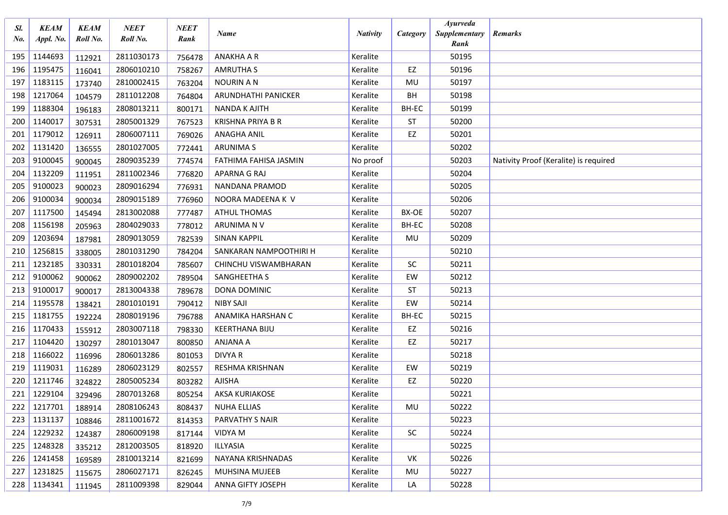| SI.<br>No. | <b>KEAM</b><br>Appl. No. | <b>KEAM</b><br>Roll No. | <b>NEET</b><br>Roll No. | <b>NEET</b><br>Rank | <b>Name</b>              | <b>Nativity</b> | Category  | <b>Ayurveda</b><br>Supplementary | <b>Remarks</b>                        |
|------------|--------------------------|-------------------------|-------------------------|---------------------|--------------------------|-----------------|-----------|----------------------------------|---------------------------------------|
|            |                          |                         |                         |                     |                          |                 |           | Rank                             |                                       |
| 195        | 1144693                  | 112921                  | 2811030173              | 756478              | <b>ANAKHA A R</b>        | Keralite        |           | 50195                            |                                       |
| 196        | 1195475                  | 116041                  | 2806010210              | 758267              | <b>AMRUTHA S</b>         | Keralite        | EZ        | 50196                            |                                       |
| 197        | 1183115                  | 173740                  | 2810002415              | 763204              | <b>NOURIN A N</b>        | Keralite        | MU        | 50197                            |                                       |
| 198        | 1217064                  | 104579                  | 2811012208              | 764804              | ARUNDHATHI PANICKER      | Keralite        | BH        | 50198                            |                                       |
| 199        | 1188304                  | 196183                  | 2808013211              | 800171              | <b>NANDA K AJITH</b>     | Keralite        | BH-EC     | 50199                            |                                       |
| 200        | 1140017                  | 307531                  | 2805001329              | 767523              | <b>KRISHNA PRIYA B R</b> | Keralite        | <b>ST</b> | 50200                            |                                       |
| 201        | 1179012                  | 126911                  | 2806007111              | 769026              | <b>ANAGHA ANIL</b>       | Keralite        | EZ        | 50201                            |                                       |
| 202        | 1131420                  | 136555                  | 2801027005              | 772441              | <b>ARUNIMA S</b>         | Keralite        |           | 50202                            |                                       |
| 203        | 9100045                  | 900045                  | 2809035239              | 774574              | FATHIMA FAHISA JASMIN    | No proof        |           | 50203                            | Nativity Proof (Keralite) is required |
| 204        | 1132209                  | 111951                  | 2811002346              | 776820              | <b>APARNA G RAJ</b>      | Keralite        |           | 50204                            |                                       |
| 205        | 9100023                  | 900023                  | 2809016294              | 776931              | NANDANA PRAMOD           | Keralite        |           | 50205                            |                                       |
| 206        | 9100034                  | 900034                  | 2809015189              | 776960              | NOORA MADEENA K V        | Keralite        |           | 50206                            |                                       |
| 207        | 1117500                  | 145494                  | 2813002088              | 777487              | <b>ATHUL THOMAS</b>      | Keralite        | BX-OE     | 50207                            |                                       |
| 208        | 1156198                  | 205963                  | 2804029033              | 778012              | ARUNIMA N V              | Keralite        | BH-EC     | 50208                            |                                       |
| 209        | 1203694                  | 187981                  | 2809013059              | 782539              | <b>SINAN KAPPIL</b>      | Keralite        | MU        | 50209                            |                                       |
| 210        | 1256815                  | 338005                  | 2801031290              | 784204              | SANKARAN NAMPOOTHIRI H   | Keralite        |           | 50210                            |                                       |
| 211        | 1232185                  | 330331                  | 2801018204              | 785607              | CHINCHU VISWAMBHARAN     | Keralite        | <b>SC</b> | 50211                            |                                       |
| 212        | 9100062                  | 900062                  | 2809002202              | 789504              | SANGHEETHA S             | Keralite        | EW        | 50212                            |                                       |
| 213        | 9100017                  | 900017                  | 2813004338              | 789678              | DONA DOMINIC             | Keralite        | <b>ST</b> | 50213                            |                                       |
| 214        | 1195578                  | 138421                  | 2801010191              | 790412              | <b>NIBY SAJI</b>         | Keralite        | EW        | 50214                            |                                       |
| 215        | 1181755                  | 192224                  | 2808019196              | 796788              | ANAMIKA HARSHAN C        | Keralite        | BH-EC     | 50215                            |                                       |
| 216        | 1170433                  | 155912                  | 2803007118              | 798330              | <b>KEERTHANA BIJU</b>    | Keralite        | EZ        | 50216                            |                                       |
| 217        | 1104420                  | 130297                  | 2801013047              | 800850              | <b>ANJANA A</b>          | Keralite        | EZ        | 50217                            |                                       |
| 218        | 1166022                  | 116996                  | 2806013286              | 801053              | DIVYA R                  | Keralite        |           | 50218                            |                                       |
| 219        | 1119031                  | 116289                  | 2806023129              | 802557              | RESHMA KRISHNAN          | Keralite        | EW        | 50219                            |                                       |
| 220        | 1211746                  | 324822                  | 2805005234              | 803282              | <b>AJISHA</b>            | Keralite        | EZ        | 50220                            |                                       |
| 221        | 1229104                  | 329496                  | 2807013268              | 805254              | <b>AKSA KURIAKOSE</b>    | Keralite        |           | 50221                            |                                       |
|            | 222 1217701              | 188914                  | 2808106243              | 808437              | NUHA ELLIAS              | Keralite        | MU        | 50222                            |                                       |
|            | 223 1131137              | 108846                  | 2811001672              | 814353              | PARVATHY S NAIR          | Keralite        |           | 50223                            |                                       |
| 224        | 1229232                  | 124387                  | 2806009198              | 817144              | <b>VIDYA M</b>           | Keralite        | SC        | 50224                            |                                       |
| 225        | 1248328                  | 335212                  | 2812003505              | 818920              | ILLYASIA                 | Keralite        |           | 50225                            |                                       |
| 226        | 1241458                  | 169589                  | 2810013214              | 821699              | NAYANA KRISHNADAS        | Keralite        | VK        | 50226                            |                                       |
| 227        | 1231825                  | 115675                  | 2806027171              | 826245              | <b>MUHSINA MUJEEB</b>    | Keralite        | MU        | 50227                            |                                       |
|            | 228 1134341              | 111945                  | 2811009398              | 829044              | ANNA GIFTY JOSEPH        | Keralite        | LA        | 50228                            |                                       |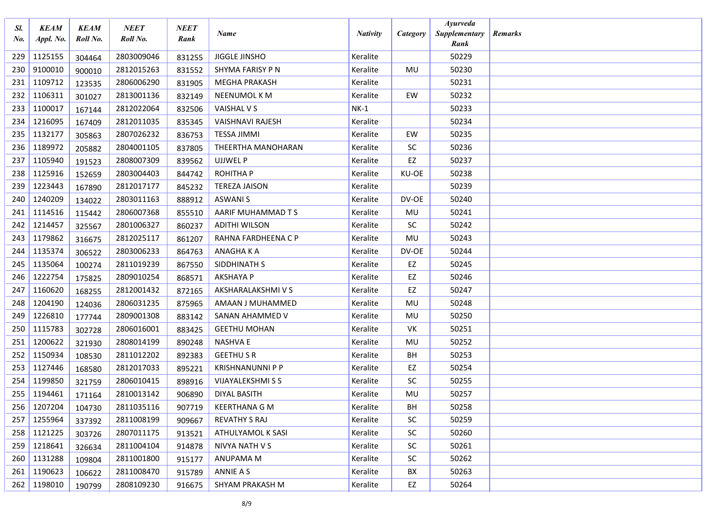| Sl.<br>$N_{0}$ | <b>KEAM</b><br>Appl. No. | <b>KEAM</b><br>Roll No. | <b>NEET</b><br>Roll No. | <b>NEET</b><br>Rank | <b>Name</b>              | <b>Nativity</b> | Category  | <b>Ayurveda</b><br>Supplementary<br>Rank | <b>Remarks</b> |
|----------------|--------------------------|-------------------------|-------------------------|---------------------|--------------------------|-----------------|-----------|------------------------------------------|----------------|
| 229            | 1125155                  | 304464                  | 2803009046              | 831255              | JIGGLE JINSHO            | Keralite        |           | 50229                                    |                |
| 230            | 9100010                  | 900010                  | 2812015263              | 831552              | SHYMA FARISY P N         | Keralite        | MU        | 50230                                    |                |
| 231            | 1109712                  | 123535                  | 2806006290              | 831905              | <b>MEGHA PRAKASH</b>     | Keralite        |           | 50231                                    |                |
| 232            | 1106311                  | 301027                  | 2813001136              | 832149              | NEENUMOL K M             | Keralite        | EW        | 50232                                    |                |
| 233            | 1100017                  | 167144                  | 2812022064              | 832506              | VAISHAL V S              | $NK-1$          |           | 50233                                    |                |
| 234            | 1216095                  | 167409                  | 2812011035              | 835345              | <b>VAISHNAVI RAJESH</b>  | Keralite        |           | 50234                                    |                |
| 235            | 1132177                  | 305863                  | 2807026232              | 836753              | <b>TESSA JIMMI</b>       | Keralite        | EW        | 50235                                    |                |
| 236            | 1189972                  | 205882                  | 2804001105              | 837805              | THEERTHA MANOHARAN       | Keralite        | <b>SC</b> | 50236                                    |                |
| 237            | 1105940                  | 191523                  | 2808007309              | 839562              | UJJWEL P                 | Keralite        | EZ        | 50237                                    |                |
| 238            | 1125916                  | 152659                  | 2803004403              | 844742              | <b>ROHITHA P</b>         | Keralite        | KU-OE     | 50238                                    |                |
| 239            | 1223443                  | 167890                  | 2812017177              | 845232              | <b>TEREZA JAISON</b>     | Keralite        |           | 50239                                    |                |
| 240            | 1240209                  | 134022                  | 2803011163              | 888912              | <b>ASWANIS</b>           | Keralite        | DV-OE     | 50240                                    |                |
| 241            | 1114516                  | 115442                  | 2806007368              | 855510              | AARIF MUHAMMAD T S       | Keralite        | MU        | 50241                                    |                |
| 242            | 1214457                  | 325567                  | 2801006327              | 860237              | <b>ADITHI WILSON</b>     | Keralite        | SC        | 50242                                    |                |
| 243            | 1179862                  | 316675                  | 2812025117              | 861207              | RAHNA FARDHEENA C P      | Keralite        | MU        | 50243                                    |                |
| 244            | 1135374                  | 306522                  | 2803006233              | 864763              | ANAGHA K A               | Keralite        | DV-OE     | 50244                                    |                |
| 245            | 1135064                  | 100274                  | 2811019239              | 867550              | SIDDHINATH S             | Keralite        | EZ        | 50245                                    |                |
| 246            | 1222754                  | 175825                  | 2809010254              | 868571              | <b>AKSHAYA P</b>         | Keralite        | EZ        | 50246                                    |                |
| 247            | 1160620                  | 168255                  | 2812001432              | 872165              | AKSHARALAKSHMI V S       | Keralite        | EZ        | 50247                                    |                |
| 248            | 1204190                  | 124036                  | 2806031235              | 875965              | AMAAN J MUHAMMED         | Keralite        | MU        | 50248                                    |                |
| 249            | 1226810                  | 177744                  | 2809001308              | 883142              | SANAN AHAMMED V          | Keralite        | MU        | 50250                                    |                |
| 250            | 1115783                  | 302728                  | 2806016001              | 883425              | <b>GEETHU MOHAN</b>      | Keralite        | <b>VK</b> | 50251                                    |                |
| 251            | 1200622                  | 321930                  | 2808014199              | 890248              | <b>NASHVA E</b>          | Keralite        | MU        | 50252                                    |                |
| 252            | 1150934                  | 108530                  | 2811012202              | 892383              | <b>GEETHU S R</b>        | Keralite        | BH        | 50253                                    |                |
| 253            | 1127446                  | 168580                  | 2812017033              | 895221              | <b>KRISHNANUNNI P P</b>  | Keralite        | EZ        | 50254                                    |                |
| 254            | 1199850                  | 321759                  | 2806010415              | 898916              | <b>VIJAYALEKSHMI S S</b> | Keralite        | <b>SC</b> | 50255                                    |                |
| 255            | 1194461                  | 171164                  | 2810013142              | 906890              | <b>DIYAL BASITH</b>      | Keralite        | MU        | 50257                                    |                |
| 256            | 1207204                  | 104730                  | 2811035116              | 907719              | <b>KEERTHANA G M</b>     | Keralite        | BН        | 50258                                    |                |
| 257            | 1255964                  | 337392                  | 2811008199              | 909667              | <b>REVATHY S RAJ</b>     | Keralite        | <b>SC</b> | 50259                                    |                |
| 258            | 1121225                  | 303726                  | 2807011175              | 913521              | ATHULYAMOL K SASI        | Keralite        | <b>SC</b> | 50260                                    |                |
| 259            | 1218641                  | 326634                  | 2811004104              | 914878              | NIVYA NATH V S           | Keralite        | <b>SC</b> | 50261                                    |                |
| 260            | 1131288                  | 109804                  | 2811001800              | 915177              | ANUPAMA M                | Keralite        | <b>SC</b> | 50262                                    |                |
| 261            | 1190623                  | 106622                  | 2811008470              | 915789              | ANNIE A S                | Keralite        | BX        | 50263                                    |                |
|                | 262 1198010              | 190799                  | 2808109230              | 916675              | SHYAM PRAKASH M          | Keralite        | EZ        | 50264                                    |                |